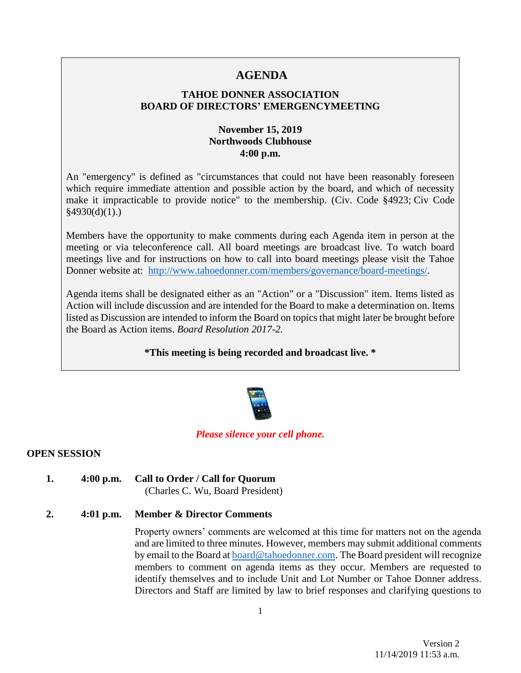# **AGENDA**

## **TAHOE DONNER ASSOCIATION BOARD OF DIRECTORS' EMERGENCYMEETING**

# **November 15, 2019 Northwoods Clubhouse 4:00 p.m.**

An "emergency" is defined as "circumstances that could not have been reasonably foreseen which require immediate attention and possible action by the board, and which of necessity make it impracticable to provide notice" to the membership. [\(Civ. Code §4923;](https://www.davis-stirling.com/Statutes/CivilCode4923/tabid/3776/Default.aspx#axzz2CojkjgpM) [Civ Code](https://www.davis-stirling.com/Statutes/CivilCode4930/tabid/3778/Default.aspx#axzz2CR2ljirY)   $§4930(d)(1).$ 

Members have the opportunity to make comments during each Agenda item in person at the meeting or via teleconference call. All board meetings are broadcast live. To watch board meetings live and for instructions on how to call into board meetings please visit the Tahoe Donner website at: [http://www.tahoedonner.com/members/governance/board-meetings/.](http://www.tahoedonner.com/members/governance/board-meetings/)

Agenda items shall be designated either as an "Action" or a "Discussion" item. Items listed as Action will include discussion and are intended for the Board to make a determination on. Items listed as Discussion are intended to inform the Board on topics that might later be brought before the Board as Action items. *Board Resolution 2017-2.*

#### **\*This meeting is being recorded and broadcast live. \***



#### *Please silence your cell phone.*

## **OPEN SESSION**

- **1. 4:00 p.m. Call to Order / Call for Quorum** (Charles C. Wu, Board President)
- **2. 4:01 p.m. Member & Director Comments**

Property owners' comments are welcomed at this time for matters not on the agenda and are limited to three minutes. However, members may submit additional comments by email to the Board at [board@tahoedonner.com.](mailto:board@tahoedonner.com) The Board president will recognize members to comment on agenda items as they occur. Members are requested to identify themselves and to include Unit and Lot Number or Tahoe Donner address. Directors and Staff are limited by law to brief responses and clarifying questions to

Version 2 11/14/2019 11:53 a.m.